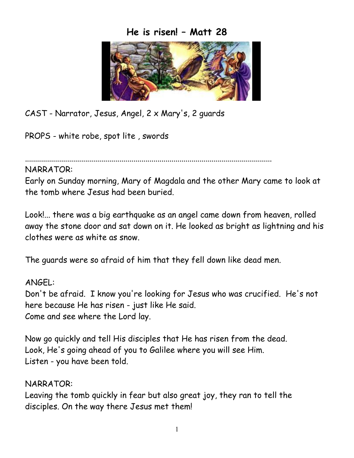## **He is risen! – Matt 28**



CAST - Narrator, Jesus, Angel, 2 x Mary's, 2 guards

PROPS - white robe, spot lite , swords

...........................................................................................................................

NARRATOR:

Early on Sunday morning, Mary of Magdala and the other Mary came to look at the tomb where Jesus had been buried.

Look!... there was a big earthquake as an angel came down from heaven, rolled away the stone door and sat down on it. He looked as bright as lightning and his clothes were as white as snow.

The guards were so afraid of him that they fell down like dead men.

ANGEL: Don't be afraid. I know you're looking for Jesus who was crucified. He's not here because He has risen - just like He said. Come and see where the Lord lay.

Now go quickly and tell His disciples that He has risen from the dead. Look, He's going ahead of you to Galilee where you will see Him. Listen - you have been told.

NARRATOR:

Leaving the tomb quickly in fear but also great joy, they ran to tell the disciples. On the way there Jesus met them!